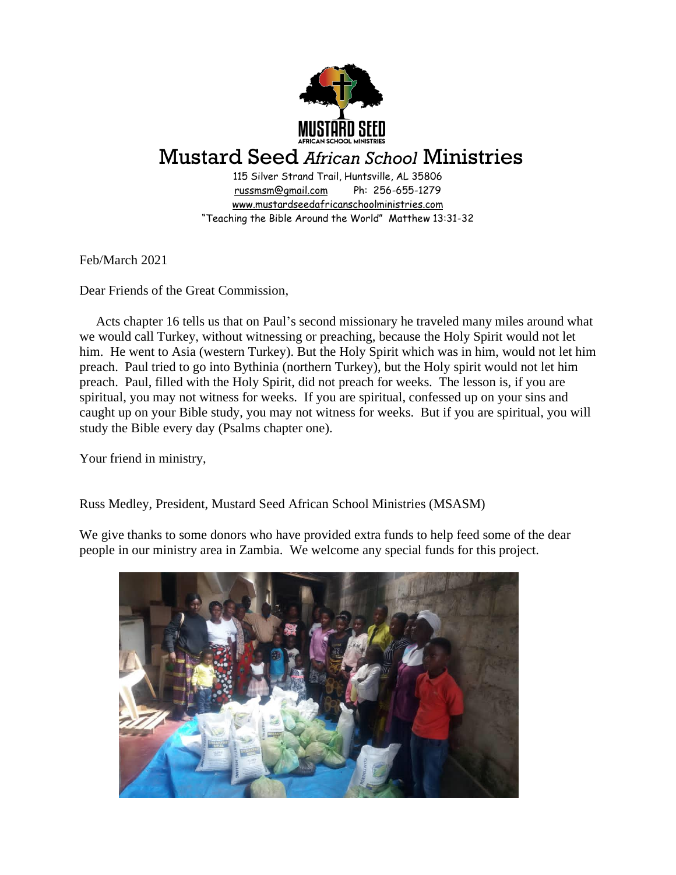

## Mustard Seed *African School* Ministries

115 Silver Strand Trail, Huntsville, AL 35806 [russmsm@gmail.com](mailto:russmsm@gmail.com) Ph: 256-655-1279 [www.mustardseedafricanschoolministries.com](http://www.mustardseedafricanschoolministries.com/) "Teaching the Bible Around the World" Matthew 13:31-32

Feb/March 2021

Dear Friends of the Great Commission,

 Acts chapter 16 tells us that on Paul's second missionary he traveled many miles around what we would call Turkey, without witnessing or preaching, because the Holy Spirit would not let him. He went to Asia (western Turkey). But the Holy Spirit which was in him, would not let him preach. Paul tried to go into Bythinia (northern Turkey), but the Holy spirit would not let him preach. Paul, filled with the Holy Spirit, did not preach for weeks. The lesson is, if you are spiritual, you may not witness for weeks. If you are spiritual, confessed up on your sins and caught up on your Bible study, you may not witness for weeks. But if you are spiritual, you will study the Bible every day (Psalms chapter one).

Your friend in ministry,

Russ Medley, President, Mustard Seed African School Ministries (MSASM)

We give thanks to some donors who have provided extra funds to help feed some of the dear people in our ministry area in Zambia. We welcome any special funds for this project.